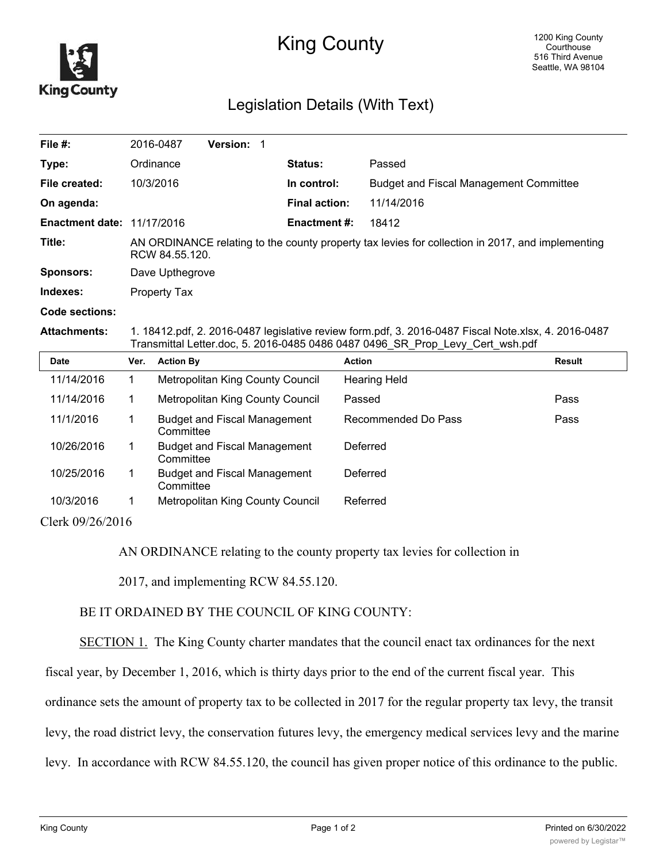

## King County

## Legislation Details (With Text)

| File #:                           | 2016-0487                                                                                                          | <b>Version: 1</b> |                      |                                               |  |
|-----------------------------------|--------------------------------------------------------------------------------------------------------------------|-------------------|----------------------|-----------------------------------------------|--|
| Type:                             | Ordinance                                                                                                          |                   | Status:              | Passed                                        |  |
| File created:                     | 10/3/2016                                                                                                          |                   | In control:          | <b>Budget and Fiscal Management Committee</b> |  |
| On agenda:                        |                                                                                                                    |                   | <b>Final action:</b> | 11/14/2016                                    |  |
| <b>Enactment date: 11/17/2016</b> |                                                                                                                    |                   | <b>Enactment #:</b>  | 18412                                         |  |
| Title:                            | AN ORDINANCE relating to the county property tax levies for collection in 2017, and implementing<br>RCW 84.55.120. |                   |                      |                                               |  |
| Sponsors:                         | Dave Upthegrove                                                                                                    |                   |                      |                                               |  |
| Indexes:                          | Property Tax                                                                                                       |                   |                      |                                               |  |

## **Code sections:**

**Attachments:** 1. 18412.pdf, 2. 2016-0487 legislative review form.pdf, 3. 2016-0487 Fiscal Note.xlsx, 4. 2016-0487 Transmittal Letter.doc, 5. 2016-0485 0486 0487 0496\_SR\_Prop\_Levy\_Cert\_wsh.pdf

| <b>Date</b>                  | Ver. | <b>Action By</b>                                 | <b>Action</b>       | Result |
|------------------------------|------|--------------------------------------------------|---------------------|--------|
| 11/14/2016                   |      | Metropolitan King County Council                 | <b>Hearing Held</b> |        |
| 11/14/2016                   |      | Metropolitan King County Council                 | Passed              | Pass   |
| 11/1/2016                    |      | <b>Budget and Fiscal Management</b><br>Committee | Recommended Do Pass | Pass   |
| 10/26/2016                   |      | <b>Budget and Fiscal Management</b><br>Committee | Deferred            |        |
| 10/25/2016                   |      | <b>Budget and Fiscal Management</b><br>Committee | Deferred            |        |
| 10/3/2016                    |      | Metropolitan King County Council                 | Referred            |        |
| $C1 \quad 1 \quad 00/00/001$ |      |                                                  |                     |        |

Clerk 09/26/2016

AN ORDINANCE relating to the county property tax levies for collection in

2017, and implementing RCW 84.55.120.

## BE IT ORDAINED BY THE COUNCIL OF KING COUNTY:

SECTION 1. The King County charter mandates that the council enact tax ordinances for the next

fiscal year, by December 1, 2016, which is thirty days prior to the end of the current fiscal year. This

ordinance sets the amount of property tax to be collected in 2017 for the regular property tax levy, the transit

levy, the road district levy, the conservation futures levy, the emergency medical services levy and the marine

levy. In accordance with RCW 84.55.120, the council has given proper notice of this ordinance to the public.